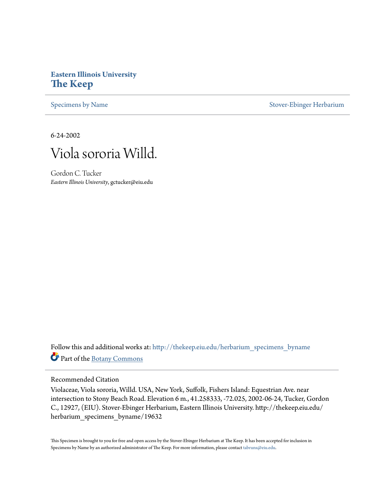# **Eastern Illinois University [The Keep](http://thekeep.eiu.edu?utm_source=thekeep.eiu.edu%2Fherbarium_specimens_byname%2F19632&utm_medium=PDF&utm_campaign=PDFCoverPages)**

[Specimens by Name](http://thekeep.eiu.edu/herbarium_specimens_byname?utm_source=thekeep.eiu.edu%2Fherbarium_specimens_byname%2F19632&utm_medium=PDF&utm_campaign=PDFCoverPages) [Stover-Ebinger Herbarium](http://thekeep.eiu.edu/herbarium?utm_source=thekeep.eiu.edu%2Fherbarium_specimens_byname%2F19632&utm_medium=PDF&utm_campaign=PDFCoverPages)

6-24-2002



Gordon C. Tucker *Eastern Illinois University*, gctucker@eiu.edu

Follow this and additional works at: [http://thekeep.eiu.edu/herbarium\\_specimens\\_byname](http://thekeep.eiu.edu/herbarium_specimens_byname?utm_source=thekeep.eiu.edu%2Fherbarium_specimens_byname%2F19632&utm_medium=PDF&utm_campaign=PDFCoverPages) Part of the [Botany Commons](https://network.bepress.com/hgg/discipline/104?utm_source=thekeep.eiu.edu%2Fherbarium_specimens_byname%2F19632&utm_medium=PDF&utm_campaign=PDFCoverPages)

#### Recommended Citation

Violaceae, Viola sororia, Willd. USA, New York, Suffolk, Fishers Island: Equestrian Ave. near intersection to Stony Beach Road. Elevation 6 m., 41.258333, -72.025, 2002-06-24, Tucker, Gordon C., 12927, (EIU). Stover-Ebinger Herbarium, Eastern Illinois University. http://thekeep.eiu.edu/ herbarium\_specimens\_byname/19632

This Specimen is brought to you for free and open access by the Stover-Ebinger Herbarium at The Keep. It has been accepted for inclusion in Specimens by Name by an authorized administrator of The Keep. For more information, please contact [tabruns@eiu.edu](mailto:tabruns@eiu.edu).